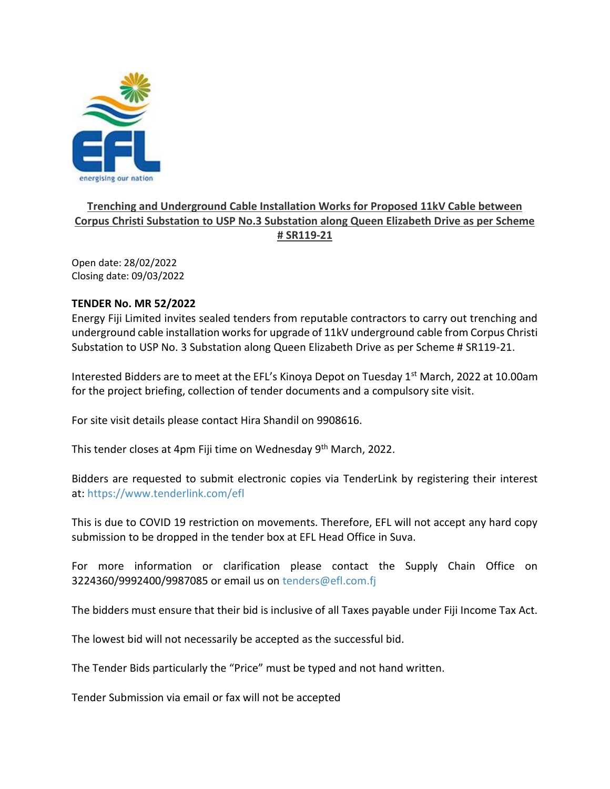

## **Trenching and Underground Cable Installation Works for Proposed 11kV Cable between Corpus Christi Substation to USP No.3 Substation along Queen Elizabeth Drive as per Scheme # SR119-21**

Open date: 28/02/2022 Closing date: 09/03/2022

## **TENDER No. MR 52/2022**

Energy Fiji Limited invites sealed tenders from reputable contractors to carry out trenching and underground cable installation works for upgrade of 11kV underground cable from Corpus Christi Substation to USP No. 3 Substation along Queen Elizabeth Drive as per Scheme # SR119-21.

Interested Bidders are to meet at the EFL's Kinoya Depot on Tuesday  $1<sup>st</sup>$  March, 2022 at 10.00am for the project briefing, collection of tender documents and a compulsory site visit.

For site visit details please contact Hira Shandil on 9908616.

This tender closes at 4pm Fiji time on Wednesday 9<sup>th</sup> March, 2022.

Bidders are requested to submit electronic copies via TenderLink by registering their interest at: <https://www.tenderlink.com/efl>

This is due to COVID 19 restriction on movements. Therefore, EFL will not accept any hard copy submission to be dropped in the tender box at EFL Head Office in Suva.

For more information or clarification please contact the Supply Chain Office on 3224360/9992400/9987085 or email us on [tenders@efl.com.fj](mailto:tenders@efl.com.fj)

The bidders must ensure that their bid is inclusive of all Taxes payable under Fiji Income Tax Act.

The lowest bid will not necessarily be accepted as the successful bid.

The Tender Bids particularly the "Price" must be typed and not hand written.

Tender Submission via email or fax will not be accepted